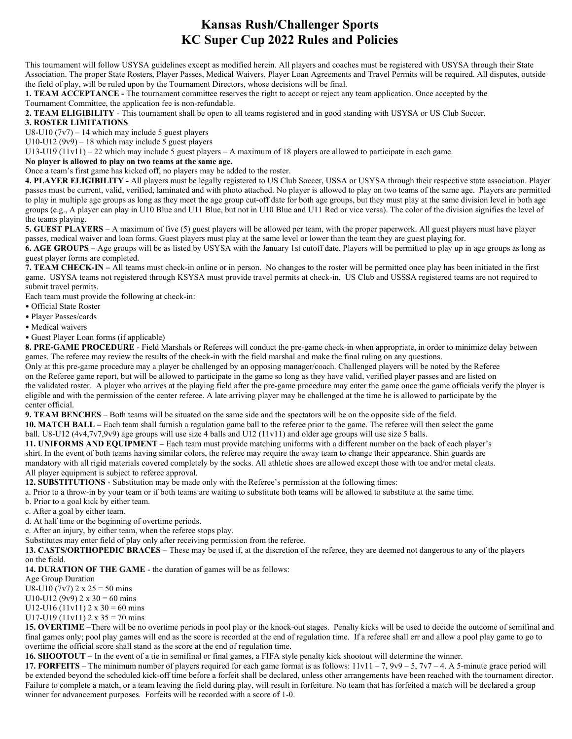# Kansas Rush/Challenger Sports KC Super Cup 2022 Rules and Policies

This tournament will follow USYSA guidelines except as modified herein. All players and coaches must be registered with USYSA through their State Association. The proper State Rosters, Player Passes, Medical Waivers, Player Loan Agreements and Travel Permits will be required. All disputes, outside the field of play, will be ruled upon by the Tournament Directors, whose decisions will be final.

1. TEAM ACCEPTANCE - The tournament committee reserves the right to accept or reject any team application. Once accepted by the Tournament Committee, the application fee is non-refundable.

2. TEAM ELIGIBILITY - This tournament shall be open to all teams registered and in good standing with USYSA or US Club Soccer.

### 3. ROSTER LIMITATIONS

U8-U10  $(7v7)$  – 14 which may include 5 guest players

U10-U12 (9v9) – 18 which may include 5 guest players

U13-U19 (11v11) – 22 which may include 5 guest players – A maximum of 18 players are allowed to participate in each game.

No player is allowed to play on two teams at the same age.

Once a team's first game has kicked off, no players may be added to the roster.

4. PLAYER ELIGIBILITY - All players must be legally registered to US Club Soccer, USSA or USYSA through their respective state association. Player passes must be current, valid, verified, laminated and with photo attached. No player is allowed to play on two teams of the same age. Players are permitted to play in multiple age groups as long as they meet the age group cut-off date for both age groups, but they must play at the same division level in both age groups (e.g., A player can play in U10 Blue and U11 Blue, but not in U10 Blue and U11 Red or vice versa). The color of the division signifies the level of the teams playing.

5. GUEST PLAYERS – A maximum of five (5) guest players will be allowed per team, with the proper paperwork. All guest players must have player passes, medical waiver and loan forms. Guest players must play at the same level or lower than the team they are guest playing for.

6. AGE GROUPS – Age groups will be as listed by USYSA with the January 1st cutoff date. Players will be permitted to play up in age groups as long as guest player forms are completed.

7. TEAM CHECK-IN – All teams must check-in online or in person. No changes to the roster will be permitted once play has been initiated in the first game. USYSA teams not registered through KSYSA must provide travel permits at check-in. US Club and USSSA registered teams are not required to submit travel permits.

Each team must provide the following at check-in:

- Official State Roster
- Player Passes/cards
- Medical waivers
- Guest Player Loan forms (if applicable)

8. PRE-GAME PROCEDURE - Field Marshals or Referees will conduct the pre-game check-in when appropriate, in order to minimize delay between games. The referee may review the results of the check-in with the field marshal and make the final ruling on any questions.

Only at this pre-game procedure may a player be challenged by an opposing manager/coach. Challenged players will be noted by the Referee on the Referee game report, but will be allowed to participate in the game so long as they have valid, verified player passes and are listed on the validated roster. A player who arrives at the playing field after the pre-game procedure may enter the game once the game officials verify the player is eligible and with the permission of the center referee. A late arriving player may be challenged at the time he is allowed to participate by the center official.

9. TEAM BENCHES – Both teams will be situated on the same side and the spectators will be on the opposite side of the field.

10. MATCH BALL – Each team shall furnish a regulation game ball to the referee prior to the game. The referee will then select the game ball. U8-U12 (4v4,7v7,9v9) age groups will use size 4 balls and U12 (11v11) and older age groups will use size 5 balls.

11. UNIFORMS AND EQUIPMENT – Each team must provide matching uniforms with a different number on the back of each player's shirt. In the event of both teams having similar colors, the referee may require the away team to change their appearance. Shin guards are

mandatory with all rigid materials covered completely by the socks. All athletic shoes are allowed except those with toe and/or metal cleats. All player equipment is subject to referee approval.

12. SUBSTITUTIONS - Substitution may be made only with the Referee's permission at the following times:

a. Prior to a throw-in by your team or if both teams are waiting to substitute both teams will be allowed to substitute at the same time.

b. Prior to a goal kick by either team.

c. After a goal by either team.

d. At half time or the beginning of overtime periods.

e. After an injury, by either team, when the referee stops play.

Substitutes may enter field of play only after receiving permission from the referee.

13. CASTS/ORTHOPEDIC BRACES – These may be used if, at the discretion of the referee, they are deemed not dangerous to any of the players

## on the field.

14. DURATION OF THE GAME - the duration of games will be as follows:

### Age Group Duration

U8-U10 (7v7)  $2 \times 25 = 50$  mins

U10-U12 (9v9)  $2 \times 30 = 60$  mins

U12-U16 (11v11)  $2 \times 30 = 60$  mins

U17-U19 (11v11)  $2 \times 35 = 70$  mins

15. OVERTIME –There will be no overtime periods in pool play or the knock-out stages. Penalty kicks will be used to decide the outcome of semifinal and final games only; pool play games will end as the score is recorded at the end of regulation time. If a referee shall err and allow a pool play game to go to overtime the official score shall stand as the score at the end of regulation time.

16. SHOOTOUT – In the event of a tie in semifinal or final games, a FIFA style penalty kick shootout will determine the winner.

17. FORFEITS – The minimum number of players required for each game format is as follows:  $11v11 - 7$ ,  $9v9 - 5$ ,  $7v7 - 4$ . A 5-minute grace period will be extended beyond the scheduled kick-off time before a forfeit shall be declared, unless other arrangements have been reached with the tournament director. Failure to complete a match, or a team leaving the field during play, will result in forfeiture. No team that has forfeited a match will be declared a group winner for advancement purposes. Forfeits will be recorded with a score of 1-0.